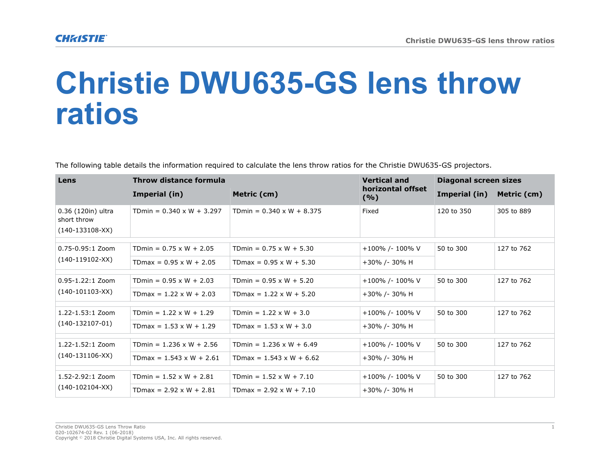## **Christie DWU635-GS lens throw ratios**

The following table details the information required to calculate the lens throw ratios for the Christie DWU635-GS projectors.

| Lens                                                   | Throw distance formula           |                                  | <b>Vertical and</b>      | <b>Diagonal screen sizes</b> |             |
|--------------------------------------------------------|----------------------------------|----------------------------------|--------------------------|------------------------------|-------------|
|                                                        | Imperial (in)                    | Metric (cm)                      | horizontal offset<br>(%) | Imperial (in)                | Metric (cm) |
| 0.36 (120in) ultra<br>short throw<br>$(140-133108-XX)$ | TDmin = $0.340 \times W + 3.297$ | TDmin = $0.340 \times W + 8.375$ | Fixed                    | 120 to 350                   | 305 to 889  |
| $0.75 - 0.95:1$ Zoom<br>$(140-119102-XX)$              | TDmin = $0.75 \times W + 2.05$   | TDmin = $0.75 \times W + 5.30$   | +100% /- 100% V          | 50 to 300                    | 127 to 762  |
|                                                        | TDmax = $0.95 \times W + 2.05$   | TDmax = $0.95 \times W + 5.30$   | +30% /- 30% H            |                              |             |
| $0.95 - 1.22:1$ Zoom<br>$(140-101103-XX)$              | TDmin = $0.95 \times W + 2.03$   | TDmin = $0.95 \times W + 5.20$   | +100% /- 100% V          | 50 to 300                    | 127 to 762  |
|                                                        | TDmax = $1.22 \times W + 2.03$   | TDmax = $1.22 \times W + 5.20$   | +30% /- 30% H            |                              |             |
| $1.22 - 1.53:1$ Zoom<br>$(140-132107-01)$              | TDmin = $1.22 \times W + 1.29$   | TDmin = $1.22 \times W + 3.0$    | +100% /- 100% V          | 50 to 300                    | 127 to 762  |
|                                                        | TDmax = $1.53 \times W + 1.29$   | TDmax = $1.53 \times W + 3.0$    | +30% /- 30% H            |                              |             |
| $1.22 - 1.52:1$ Zoom<br>$(140-131106-XX)$              | TDmin = $1.236 \times W + 2.56$  | TDmin = $1.236 \times W + 6.49$  | +100% /- 100% V          | 50 to 300                    | 127 to 762  |
|                                                        | TDmax = $1.543 \times W + 2.61$  | TDmax = $1.543 \times W + 6.62$  | +30% /- 30% H            |                              |             |
| $1.52 - 2.92:1$ Zoom<br>$(140-102104-XX)$              | TDmin = $1.52 \times W + 2.81$   | TDmin = $1.52 \times W + 7.10$   | +100% /- 100% V          | 50 to 300                    | 127 to 762  |
|                                                        | TDmax = $2.92 \times W + 2.81$   | TDmax = $2.92 \times W + 7.10$   | +30% /- 30% H            |                              |             |